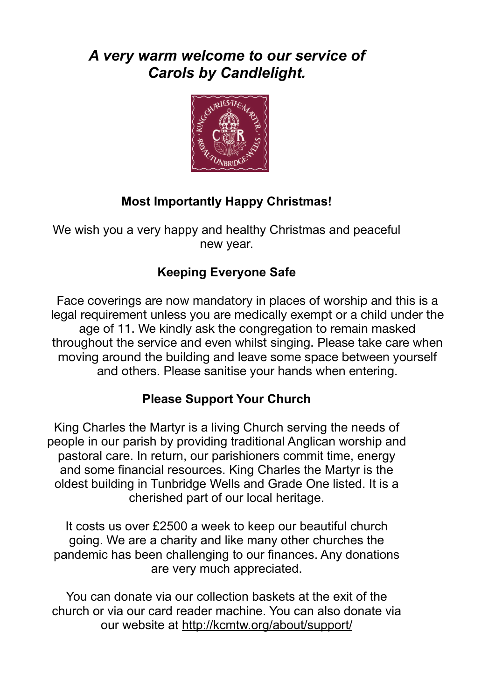# *A very warm welcome to our service of Carols by Candlelight.*



# **Most Importantly Happy Christmas!**

We wish you a very happy and healthy Christmas and peaceful new year.

# **Keeping Everyone Safe**

Face coverings are now mandatory in places of worship and this is a legal requirement unless you are medically exempt or a child under the age of 11. We kindly ask the congregation to remain masked throughout the service and even whilst singing. Please take care when moving around the building and leave some space between yourself and others. Please sanitise your hands when entering.

# **Please Support Your Church**

King Charles the Martyr is a living Church serving the needs of people in our parish by providing traditional Anglican worship and pastoral care. In return, our parishioners commit time, energy and some financial resources. King Charles the Martyr is the oldest building in Tunbridge Wells and Grade One listed. It is a cherished part of our local heritage.

It costs us over £2500 a week to keep our beautiful church going. We are a charity and like many other churches the pandemic has been challenging to our finances. Any donations are very much appreciated.

You can donate via our collection baskets at the exit of the church or via our card reader machine. You can also donate via our website at <http://kcmtw.org/about/support/>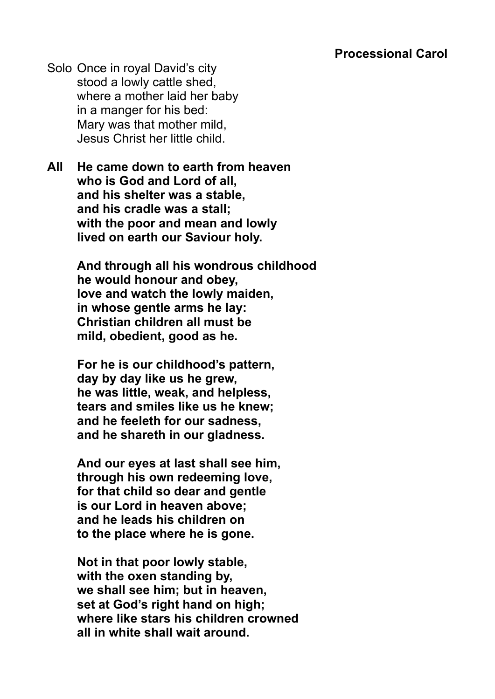Solo Once in royal David's city stood a lowly cattle shed, where a mother laid her baby in a manger for his bed: Mary was that mother mild, Jesus Christ her little child.

**All He came down to earth from heaven who is God and Lord of all, and his shelter was a stable, and his cradle was a stall; with the poor and mean and lowly lived on earth our Saviour holy.** 

> **And through all his wondrous childhood he would honour and obey, love and watch the lowly maiden, in whose gentle arms he lay: Christian children all must be mild, obedient, good as he.**

**For he is our childhood's pattern, day by day like us he grew, he was little, weak, and helpless, tears and smiles like us he knew; and he feeleth for our sadness, and he shareth in our gladness.** 

**And our eyes at last shall see him, through his own redeeming love, for that child so dear and gentle is our Lord in heaven above; and he leads his children on to the place where he is gone.** 

**Not in that poor lowly stable, with the oxen standing by, we shall see him; but in heaven, set at God's right hand on high; where like stars his children crowned all in white shall wait around.**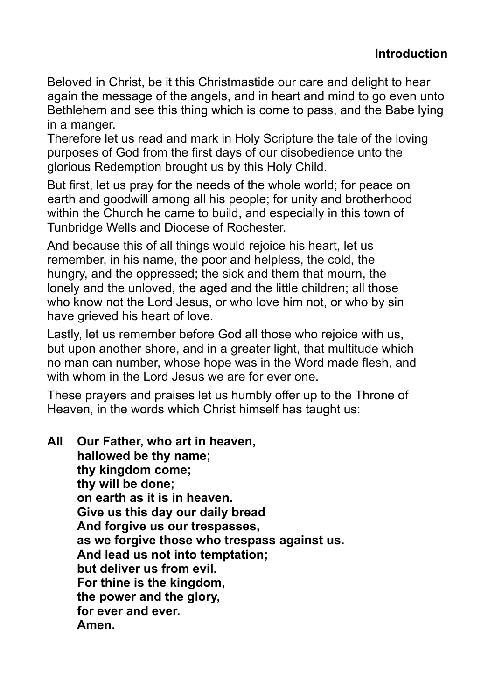Beloved in Christ, be it this Christmastide our care and delight to hear again the message of the angels, and in heart and mind to go even unto Bethlehem and see this thing which is come to pass, and the Babe lying in a manger.

Therefore let us read and mark in Holy Scripture the tale of the loving purposes of God from the first days of our disobedience unto the glorious Redemption brought us by this Holy Child.

But first, let us pray for the needs of the whole world; for peace on earth and goodwill among all his people; for unity and brotherhood within the Church he came to build, and especially in this town of Tunbridge Wells and Diocese of Rochester.

And because this of all things would rejoice his heart, let us remember, in his name, the poor and helpless, the cold, the hungry, and the oppressed; the sick and them that mourn, the lonely and the unloved, the aged and the little children; all those who know not the Lord Jesus, or who love him not, or who by sin have grieved his heart of love.

Lastly, let us remember before God all those who rejoice with us, but upon another shore, and in a greater light, that multitude which no man can number, whose hope was in the Word made flesh, and with whom in the Lord Jesus we are for ever one.

These prayers and praises let us humbly offer up to the Throne of Heaven, in the words which Christ himself has taught us:

**All Our Father, who art in heaven, hallowed be thy name; thy kingdom come; thy will be done; on earth as it is in heaven. Give us this day our daily bread And forgive us our trespasses, as we forgive those who trespass against us. And lead us not into temptation; but deliver us from evil. For thine is the kingdom, the power and the glory, for ever and ever. Amen.**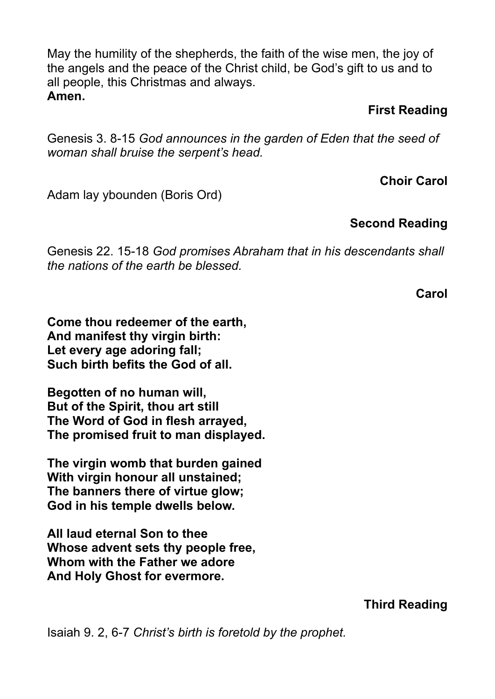May the humility of the shepherds, the faith of the wise men, the joy of the angels and the peace of the Christ child, be God's gift to us and to all people, this Christmas and always. **Amen.**

### **First Reading**

Genesis 3. 8-15 *God announces in the garden of Eden that the seed of woman shall bruise the serpent's head.*

**Choir Carol**

Adam lay ybounden (Boris Ord)

## **Second Reading**

Genesis 22. 15-18 *God promises Abraham that in his descendants shall the nations of the earth be blessed.*

**Carol**

**Come thou redeemer of the earth, And manifest thy virgin birth: Let every age adoring fall; Such birth befits the God of all.**

**Begotten of no human will, But of the Spirit, thou art still The Word of God in flesh arrayed, The promised fruit to man displayed.**

**The virgin womb that burden gained With virgin honour all unstained; The banners there of virtue glow; God in his temple dwells below.**

**All laud eternal Son to thee Whose advent sets thy people free, Whom with the Father we adore And Holy Ghost for evermore.**

**Third Reading**

Isaiah 9. 2, 6-7 *Christ's birth is foretold by the prophet.*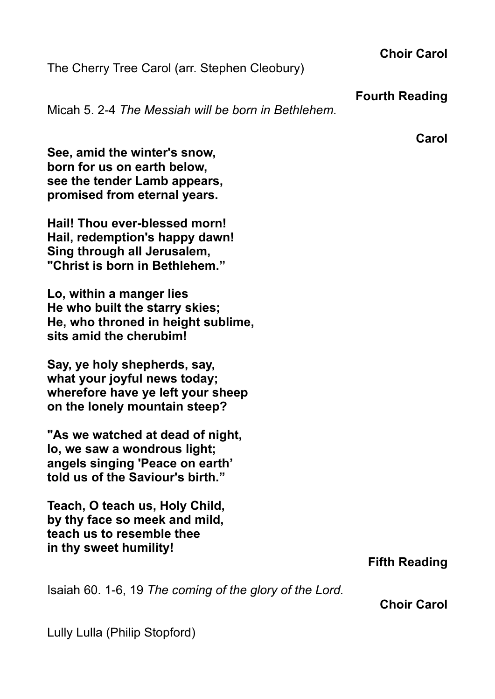The Cherry Tree Carol (arr. Stephen Cleobury)

#### **Fourth Reading**

**Choir Carol**

Micah 5. 2-4 *The Messiah will be born in Bethlehem.*

**Carol**

**See, amid the winter's snow, born for us on earth below, see the tender Lamb appears, promised from eternal years.**

**Hail! Thou ever-blessed morn! Hail, redemption's happy dawn! Sing through all Jerusalem, "Christ is born in Bethlehem."**

**Lo, within a manger lies He who built the starry skies; He, who throned in height sublime, sits amid the cherubim!**

**Say, ye holy shepherds, say, what your joyful news today; wherefore have ye left your sheep on the lonely mountain steep?**

**"As we watched at dead of night, lo, we saw a wondrous light; angels singing 'Peace on earth' told us of the Saviour's birth."**

**Teach, O teach us, Holy Child, by thy face so meek and mild, teach us to resemble thee in thy sweet humility!**

## **Fifth Reading**

Isaiah 60. 1-6, 19 *The coming of the glory of the Lord.*

**Choir Carol**

Lully Lulla (Philip Stopford)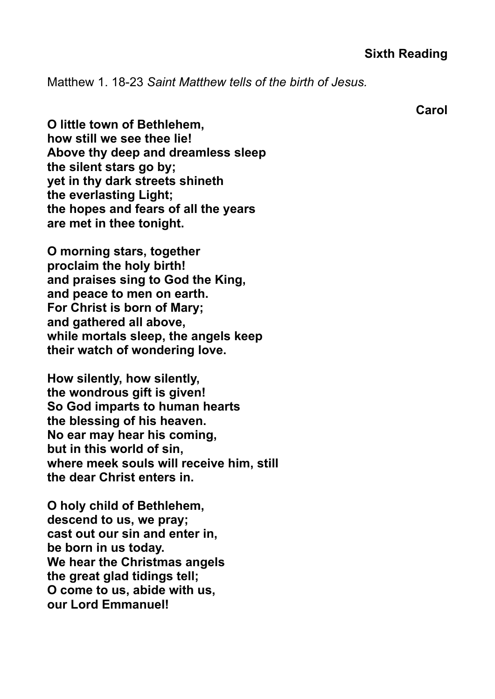Matthew 1. 18-23 *Saint Matthew tells of the birth of Jesus.*

**Carol**

**O little town of Bethlehem, how still we see thee lie! Above thy deep and dreamless sleep the silent stars go by; yet in thy dark streets shineth the everlasting Light; the hopes and fears of all the years are met in thee tonight.**

**O morning stars, together proclaim the holy birth! and praises sing to God the King, and peace to men on earth. For Christ is born of Mary; and gathered all above, while mortals sleep, the angels keep their watch of wondering love.**

**How silently, how silently, the wondrous gift is given! So God imparts to human hearts the blessing of his heaven. No ear may hear his coming, but in this world of sin, where meek souls will receive him, still the dear Christ enters in.**

**O holy child of Bethlehem, descend to us, we pray; cast out our sin and enter in, be born in us today. We hear the Christmas angels the great glad tidings tell; O come to us, abide with us, our Lord Emmanuel!**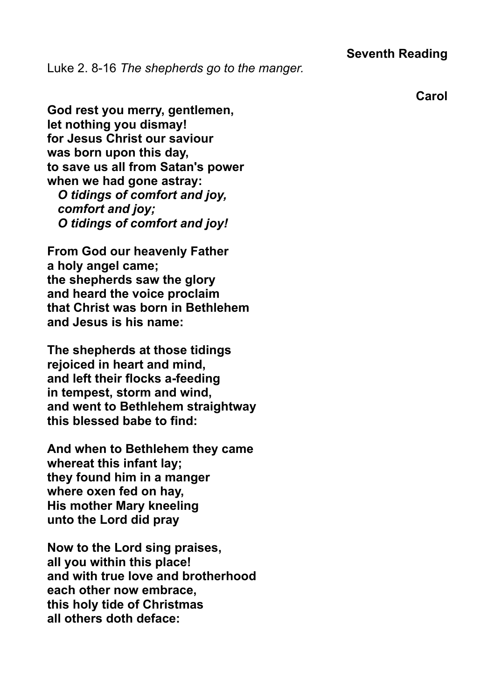### **Seventh Reading**

Luke 2. 8-16 *The shepherds go to the manger.*

**Carol**

**God rest you merry, gentlemen, let nothing you dismay! for Jesus Christ our saviour was born upon this day, to save us all from Satan's power when we had gone astray:**  *O tidings of comfort and joy, comfort and joy;*

 *O tidings of comfort and joy!*

**From God our heavenly Father a holy angel came; the shepherds saw the glory and heard the voice proclaim that Christ was born in Bethlehem and Jesus is his name:**

**The shepherds at those tidings rejoiced in heart and mind, and left their flocks a-feeding in tempest, storm and wind, and went to Bethlehem straightway this blessed babe to find:**

**And when to Bethlehem they came whereat this infant lay; they found him in a manger where oxen fed on hay, His mother Mary kneeling unto the Lord did pray**

**Now to the Lord sing praises, all you within this place! and with true love and brotherhood each other now embrace, this holy tide of Christmas all others doth deface:**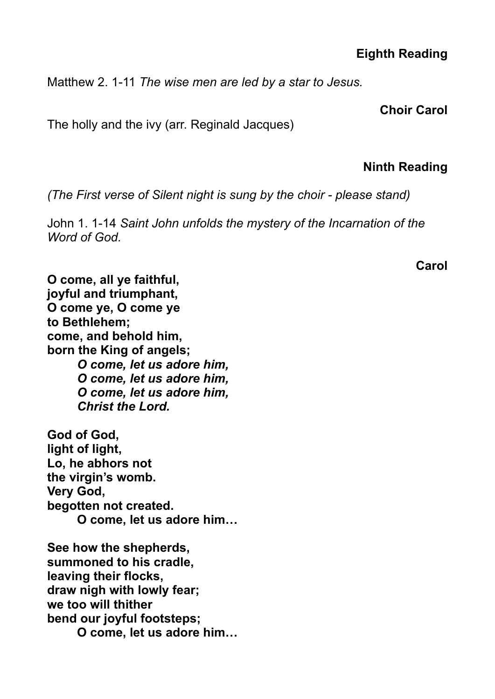## **Eighth Reading**

Matthew 2. 1-11 *The wise men are led by a star to Jesus.*

**Choir Carol**

The holly and the ivy (arr. Reginald Jacques)

### **Ninth Reading**

*(The First verse of Silent night is sung by the choir - please stand)* 

John 1. 1-14 *Saint John unfolds the mystery of the Incarnation of the Word of God.*

**Carol**

**O come, all ye faithful, joyful and triumphant, O come ye, O come ye to Bethlehem; come, and behold him, born the King of angels;** *O come, let us adore him, O come, let us adore him, O come, let us adore him, Christ the Lord.* **God of God, light of light,**

**Lo, he abhors not the virgin's womb. Very God, begotten not created. O come, let us adore him…**

**See how the shepherds, summoned to his cradle, leaving their flocks, draw nigh with lowly fear; we too will thither bend our joyful footsteps; O come, let us adore him…**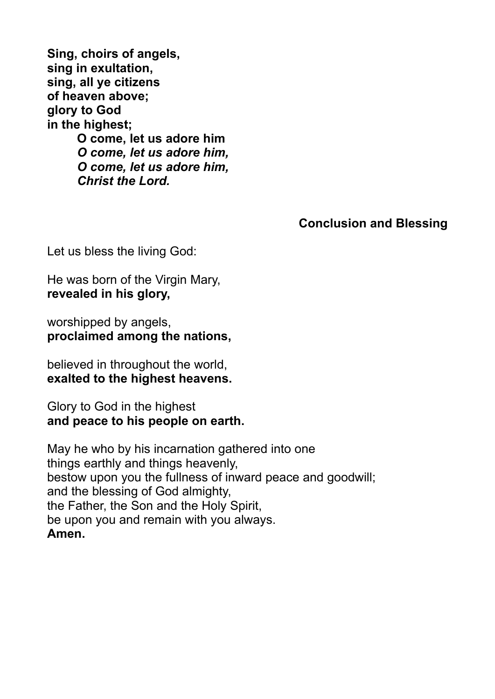**Sing, choirs of angels, sing in exultation, sing, all ye citizens of heaven above; glory to God in the highest; O come, let us adore him** *O come, let us adore him, O come, let us adore him, Christ the Lord.*

**Conclusion and Blessing**

Let us bless the living God:

He was born of the Virgin Mary, **revealed in his glory,**

worshipped by angels, **proclaimed among the nations,**

believed in throughout the world, **exalted to the highest heavens.**

Glory to God in the highest **and peace to his people on earth.**

May he who by his incarnation gathered into one things earthly and things heavenly, bestow upon you the fullness of inward peace and goodwill; and the blessing of God almighty, the Father, the Son and the Holy Spirit, be upon you and remain with you always. **Amen.**